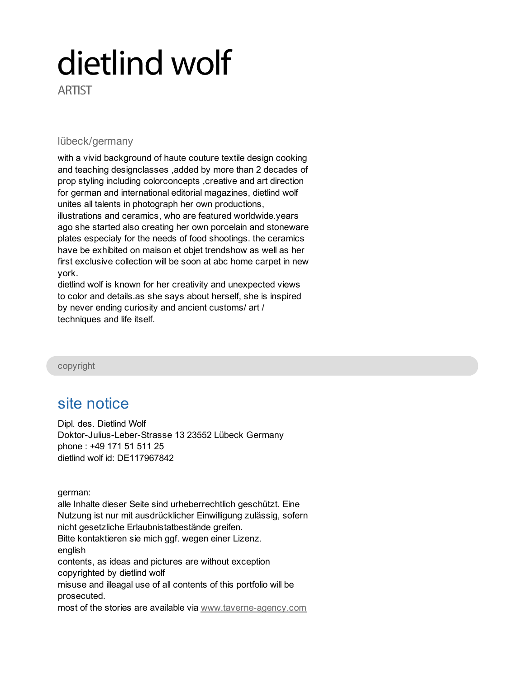## dietlind wolf

ARTIST

## lübeck/germany

with a vivid background of haute couture textile design cooking and teaching designclasses ,added by more than 2 decades of prop styling including colorconcepts ,creative and art direction for german and international editorial magazines, dietlind wolf unites all talents in photograph her own productions, illustrations and ceramics, who are featured worldwide.years ago she started also creating her own porcelain and stoneware plates especialy for the needs of food shootings. the ceramics have be exhibited on maison et objet trendshow as well as her first exclusive collection will be soon at abc home carpet in new york.

dietlind wolf is known for her creativity and unexpected views to color and details.as she says about herself, she is inspired by never ending curiosity and ancient customs/ art / techniques and life itself.

copyright

## site notice

Dipl. des. Dietlind Wolf Doktor-Julius-Leber-Strasse 13 23552 Lübeck Germany phone : +49 171 51 511 25 dietlind wolf id: DE117967842

german:

alle Inhalte dieser Seite sind urheberrechtlich geschützt. Eine Nutzung ist nur mit ausdrücklicher Einwilligung zulässig, sofern nicht gesetzliche Erlaubnistatbestände greifen. Bitte kontaktieren sie mich ggf. wegen einer Lizenz. english contents, as ideas and pictures are without exception copyrighted by dietlind wolf misuse and illeagal use of all contents of this portfolio will be prosecuted. most of the stories are available via [www.taverne-agency.com](http://www.taverne-agency.com)